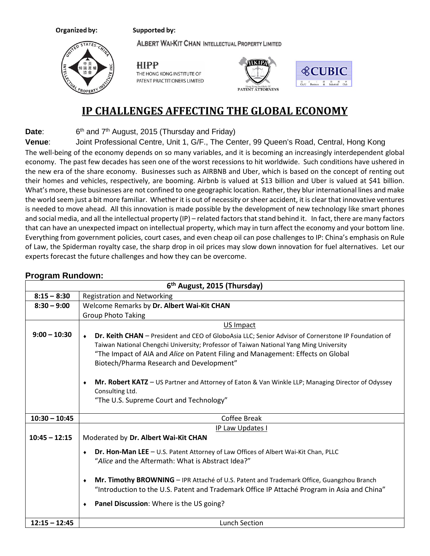## Supported by:

Organized by:

**ALBERT WAI-KIT CHAN INTELLECTUAL PROPERTY LIMITED** 



**HIPP** THE HONG KONG INSTITUTE OF PATENT PRACTITIONERS LIMITED





## **IP CHALLENGES AFFECTING THE GLOBAL ECONOMY**

**Date**: 6<sup>th</sup> and 7<sup>th</sup> August, 2015 (Thursday and Friday)

**Venue**: Joint Professional Centre, Unit 1, G/F., The Center, 99 Queen's Road, Central, Hong Kong

The well-being of the economy depends on so many variables, and it is becoming an increasingly interdependent global economy. The past few decades has seen one of the worst recessions to hit worldwide. Such conditions have ushered in the new era of the share economy. Businesses such as AIRBNB and Uber, which is based on the concept of renting out their homes and vehicles, respectively, are booming. Airbnb is valued at \$13 billion and Uber is valued at \$41 billion. What's more, these businesses are not confined to one geographic location. Rather, they blur international lines and make the world seem just a bit more familiar. Whether it is out of necessity or sheer accident, it is clear that innovative ventures is needed to move ahead. All this innovation is made possible by the development of new technology like smart phones and social media, and all the intellectual property (IP) – related factors that stand behind it. In fact, there are many factors that can have an unexpected impact on intellectual property, which may in turn affect the economy and your bottom line. Everything from government policies, court cases, and even cheap oil can pose challenges to IP: China's emphasis on Rule of Law, the Spiderman royalty case, the sharp drop in oil prices may slow down innovation for fuel alternatives. Let our experts forecast the future challenges and how they can be overcome.

## **Program Rundown:**

|                 | 6 <sup>th</sup> August, 2015 (Thursday)                                                                                                                                                                                                                                                                                                                                                                                                                                                              |  |  |
|-----------------|------------------------------------------------------------------------------------------------------------------------------------------------------------------------------------------------------------------------------------------------------------------------------------------------------------------------------------------------------------------------------------------------------------------------------------------------------------------------------------------------------|--|--|
| $8:15 - 8:30$   | <b>Registration and Networking</b>                                                                                                                                                                                                                                                                                                                                                                                                                                                                   |  |  |
| $8:30 - 9:00$   | Welcome Remarks by Dr. Albert Wai-Kit CHAN                                                                                                                                                                                                                                                                                                                                                                                                                                                           |  |  |
|                 | <b>Group Photo Taking</b>                                                                                                                                                                                                                                                                                                                                                                                                                                                                            |  |  |
|                 | US Impact                                                                                                                                                                                                                                                                                                                                                                                                                                                                                            |  |  |
| $9:00 - 10:30$  | Dr. Keith CHAN - President and CEO of GloboAsia LLC; Senior Advisor of Cornerstone IP Foundation of<br>Taiwan National Chengchi University; Professor of Taiwan National Yang Ming University<br>"The Impact of AIA and Alice on Patent Filing and Management: Effects on Global<br>Biotech/Pharma Research and Development"<br>Mr. Robert KATZ - US Partner and Attorney of Eaton & Van Winkle LLP; Managing Director of Odyssey<br>٠<br>Consulting Ltd.<br>"The U.S. Supreme Court and Technology" |  |  |
| $10:30 - 10:45$ | Coffee Break                                                                                                                                                                                                                                                                                                                                                                                                                                                                                         |  |  |
|                 | IP Law Updates I                                                                                                                                                                                                                                                                                                                                                                                                                                                                                     |  |  |
| $10:45 - 12:15$ | Moderated by Dr. Albert Wai-Kit CHAN                                                                                                                                                                                                                                                                                                                                                                                                                                                                 |  |  |
|                 | Dr. Hon-Man LEE - U.S. Patent Attorney of Law Offices of Albert Wai-Kit Chan, PLLC<br>۰<br>"Alice and the Aftermath: What is Abstract Idea?"                                                                                                                                                                                                                                                                                                                                                         |  |  |
|                 | Mr. Timothy BROWNING - IPR Attaché of U.S. Patent and Trademark Office, Guangzhou Branch<br>٠<br>"Introduction to the U.S. Patent and Trademark Office IP Attaché Program in Asia and China"<br>Panel Discussion: Where is the US going?<br>٠                                                                                                                                                                                                                                                        |  |  |
| $12:15 - 12:45$ | <b>Lunch Section</b>                                                                                                                                                                                                                                                                                                                                                                                                                                                                                 |  |  |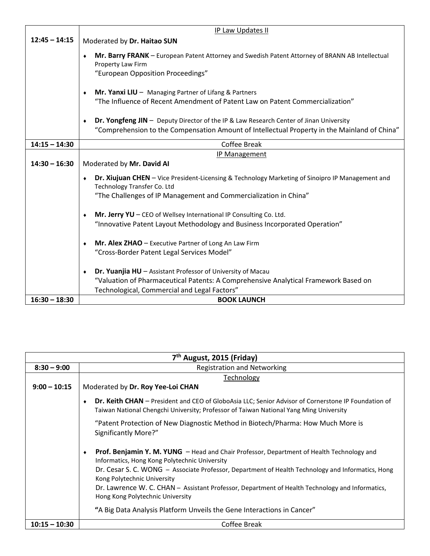|                 | IP Law Updates II                                                                                                                                                                                                |
|-----------------|------------------------------------------------------------------------------------------------------------------------------------------------------------------------------------------------------------------|
| $12:45 - 14:15$ | Moderated by Dr. Haitao SUN                                                                                                                                                                                      |
|                 | Mr. Barry FRANK - European Patent Attorney and Swedish Patent Attorney of BRANN AB Intellectual<br>$\bullet$<br>Property Law Firm<br>"European Opposition Proceedings"                                           |
|                 | <b>Mr. Yanxi LIU</b> $-$ Managing Partner of Lifang & Partners<br>٠<br>"The Influence of Recent Amendment of Patent Law on Patent Commercialization"                                                             |
|                 | Dr. Yongfeng JIN - Deputy Director of the IP & Law Research Center of Jinan University<br>٠<br>"Comprehension to the Compensation Amount of Intellectual Property in the Mainland of China"                      |
| $14:15 - 14:30$ | Coffee Break                                                                                                                                                                                                     |
| $14:30 - 16:30$ | IP Management<br>Moderated by Mr. David AI                                                                                                                                                                       |
|                 | Dr. Xiujuan CHEN - Vice President-Licensing & Technology Marketing of Sinoipro IP Management and<br>$\bullet$<br>Technology Transfer Co. Ltd<br>"The Challenges of IP Management and Commercialization in China" |
|                 | Mr. Jerry YU - CEO of Wellsey International IP Consulting Co. Ltd.<br>$\bullet$<br>"Innovative Patent Layout Methodology and Business Incorporated Operation"                                                    |
|                 | <b>Mr. Alex ZHAO</b> $-$ Executive Partner of Long An Law Firm<br>۰<br>"Cross-Border Patent Legal Services Model"                                                                                                |
|                 | Dr. Yuanjia HU - Assistant Professor of University of Macau<br>$\bullet$<br>"Valuation of Pharmaceutical Patents: A Comprehensive Analytical Framework Based on<br>Technological, Commercial and Legal Factors"  |
| $16:30 - 18:30$ | <b>BOOK LAUNCH</b>                                                                                                                                                                                               |

| 7 <sup>th</sup> August, 2015 (Friday) |                                                                                                                                                                                                                                                 |  |
|---------------------------------------|-------------------------------------------------------------------------------------------------------------------------------------------------------------------------------------------------------------------------------------------------|--|
| $8:30 - 9:00$                         | <b>Registration and Networking</b>                                                                                                                                                                                                              |  |
|                                       | Technology                                                                                                                                                                                                                                      |  |
| $9:00 - 10:15$                        | Moderated by Dr. Roy Yee-Loi CHAN                                                                                                                                                                                                               |  |
|                                       | <b>Dr. Keith CHAN</b> – President and CEO of GloboAsia LLC; Senior Advisor of Cornerstone IP Foundation of<br>Taiwan National Chengchi University; Professor of Taiwan National Yang Ming University                                            |  |
|                                       | "Patent Protection of New Diagnostic Method in Biotech/Pharma: How Much More is<br>Significantly More?"                                                                                                                                         |  |
|                                       | Prof. Benjamin Y. M. YUNG - Head and Chair Professor, Department of Health Technology and<br>Informatics, Hong Kong Polytechnic University<br>Dr. Cesar S. C. WONG - Associate Professor, Department of Health Technology and Informatics, Hong |  |
|                                       | Kong Polytechnic University                                                                                                                                                                                                                     |  |
|                                       | Dr. Lawrence W. C. CHAN - Assistant Professor, Department of Health Technology and Informatics,<br>Hong Kong Polytechnic University                                                                                                             |  |
|                                       | "A Big Data Analysis Platform Unveils the Gene Interactions in Cancer"                                                                                                                                                                          |  |
| $10:15 - 10:30$                       | Coffee Break                                                                                                                                                                                                                                    |  |